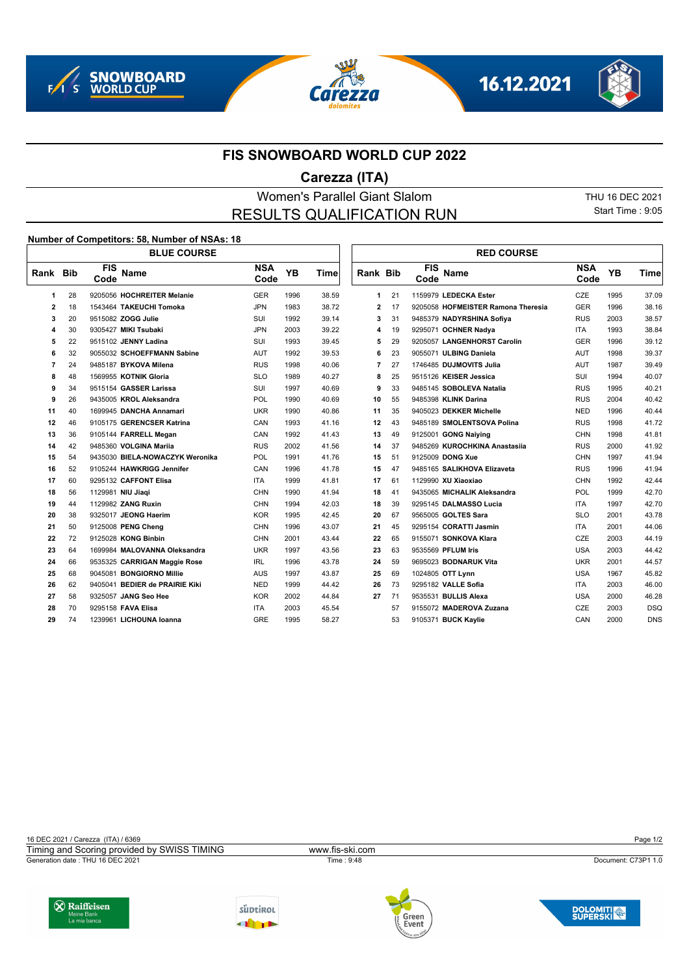







## **FIS SNOWBOARD WORLD CUP 2022**

## **Carezza (ITA)**

Women's Parallel Giant Slalom THU 16 DEC 2021 RESULTS QUALIFICATION RUN

 $\mathbb{L}$ 

Start Time : 9:05

## **Number of Competitors: 58, Number of NSAs: 18**

| <b>BLUE COURSE</b> |    |                                   |                    |      |       | <b>RED COURSE</b> |     |                                    |                    |           |             |
|--------------------|----|-----------------------------------|--------------------|------|-------|-------------------|-----|------------------------------------|--------------------|-----------|-------------|
| Rank Bib           |    | <b>FIS</b><br><b>Name</b><br>Code | <b>NSA</b><br>Code | YB   | Time  | <b>Rank Bib</b>   |     | <b>FIS</b><br><b>Name</b><br>Code  | <b>NSA</b><br>Code | <b>YB</b> | <b>Time</b> |
| 1                  | 28 | 9205056 HOCHREITER Melanie        | <b>GER</b>         | 1996 | 38.59 | $\mathbf{1}$      | 21  | 1159979 LEDECKA Ester              | CZE                | 1995      | 37.09       |
| 2                  | 18 | 1543464 TAKEUCHI Tomoka           | <b>JPN</b>         | 1983 | 38.72 | 2                 | -17 | 9205058 HOFMEISTER Ramona Theresia | <b>GER</b>         | 1996      | 38.16       |
| 3                  | 20 | 9515082 ZOGG Julie                | SUI                | 1992 | 39.14 | 3                 | 31  | 9485379 NADYRSHINA Sofiya          | <b>RUS</b>         | 2003      | 38.57       |
| 4                  | 30 | 9305427 MIKI Tsubaki              | <b>JPN</b>         | 2003 | 39.22 | 4                 | 19  | 9295071 OCHNER Nadya               | <b>ITA</b>         | 1993      | 38.84       |
| 5                  | 22 | 9515102 JENNY Ladina              | SUI                | 1993 | 39.45 | 5                 | 29  | 9205057 LANGENHORST Carolin        | <b>GER</b>         | 1996      | 39.12       |
| 6                  | 32 | 9055032 SCHOEFFMANN Sabine        | <b>AUT</b>         | 1992 | 39.53 | 6                 | 23  | 9055071 ULBING Daniela             | <b>AUT</b>         | 1998      | 39.37       |
| 7                  | 24 | 9485187 BYKOVA Milena             | <b>RUS</b>         | 1998 | 40.06 | $\overline{7}$    | 27  | 1746485 DUJMOVITS Julia            | <b>AUT</b>         | 1987      | 39.49       |
| 8                  | 48 | 1569955 KOTNIK Gloria             | <b>SLO</b>         | 1989 | 40.27 | 8                 | 25  | 9515126 KEISER Jessica             | SUI                | 1994      | 40.07       |
| 9                  | 34 | 9515154 GASSER Larissa            | SUI                | 1997 | 40.69 | 9                 | 33  | 9485145 SOBOLEVA Natalia           | <b>RUS</b>         | 1995      | 40.21       |
| 9                  | 26 | 9435005 KROL Aleksandra           | POL                | 1990 | 40.69 | 10                | 55  | 9485398 KLINK Darina               | <b>RUS</b>         | 2004      | 40.42       |
| 11                 | 40 | 1699945 DANCHA Annamari           | <b>UKR</b>         | 1990 | 40.86 | 11                | 35  | 9405023 DEKKER Michelle            | <b>NED</b>         | 1996      | 40.44       |
| 12                 | 46 | 9105175 GERENCSER Katrina         | CAN                | 1993 | 41.16 | 12                | 43  | 9485189 SMOLENTSOVA Polina         | <b>RUS</b>         | 1998      | 41.72       |
| 13                 | 36 | 9105144 FARRELL Megan             | CAN                | 1992 | 41.43 | 13                | 49  | 9125001 GONG Naiving               | <b>CHN</b>         | 1998      | 41.81       |
| 14                 | 42 | 9485360 VOLGINA Marija            | <b>RUS</b>         | 2002 | 41.56 | 14                | 37  | 9485269 KUROCHKINA Anastasija      | <b>RUS</b>         | 2000      | 41.92       |
| 15                 | 54 | 9435030 BIELA-NOWACZYK Weronika   | POL                | 1991 | 41.76 | 15                | 51  | 9125009 DONG Xue                   | CHN                | 1997      | 41.94       |
| 16                 | 52 | 9105244 HAWKRIGG Jennifer         | CAN                | 1996 | 41.78 | 15                | 47  | 9485165 SALIKHOVA Elizaveta        | <b>RUS</b>         | 1996      | 41.94       |
| 17                 | 60 | 9295132 CAFFONT Elisa             | <b>ITA</b>         | 1999 | 41.81 | 17                | 61  | 1129990 XU Xiaoxiao                | CHN                | 1992      | 42.44       |
| 18                 | 56 | 1129981 NIU Jiagi                 | CHN                | 1990 | 41.94 | 18                | 41  | 9435065 MICHALIK Aleksandra        | POL                | 1999      | 42.70       |
| 19                 | 44 | 1129982 ZANG Ruxin                | <b>CHN</b>         | 1994 | 42.03 | 18                | 39  | 9295145 DALMASSO Lucia             | <b>ITA</b>         | 1997      | 42.70       |
| 20                 | 38 | 9325017 JEONG Haerim              | <b>KOR</b>         | 1995 | 42.45 | 20                | 67  | 9565005 GOLTES Sara                | <b>SLO</b>         | 2001      | 43.78       |
| 21                 | 50 | 9125008 PENG Cheng                | <b>CHN</b>         | 1996 | 43.07 | 21                | 45  | 9295154 CORATTI Jasmin             | <b>ITA</b>         | 2001      | 44.06       |
| 22                 | 72 | 9125028 KONG Binbin               | <b>CHN</b>         | 2001 | 43.44 | 22                | 65  | 9155071 SONKOVA Klara              | CZE                | 2003      | 44.19       |
| 23                 | 64 | 1699984 MALOVANNA Oleksandra      | <b>UKR</b>         | 1997 | 43.56 | 23                | 63  | 9535569 PFLUM Iris                 | <b>USA</b>         | 2003      | 44.42       |
| 24                 | 66 | 9535325 CARRIGAN Maggie Rose      | <b>IRL</b>         | 1996 | 43.78 | 24                | 59  | 9695023 BODNARUK Vita              | <b>UKR</b>         | 2001      | 44.57       |
| 25                 | 68 | 9045081 BONGIORNO Millie          | <b>AUS</b>         | 1997 | 43.87 | 25                | 69  | 1024805 OTT Lynn                   | <b>USA</b>         | 1967      | 45.82       |
| 26                 | 62 | 9405041 BEDIER de PRAIRIE Kiki    | <b>NED</b>         | 1999 | 44.42 | 26                | 73  | 9295182 VALLE Sofia                | <b>ITA</b>         | 2003      | 46.00       |
| 27                 | 58 | 9325057 JANG Seo Hee              | <b>KOR</b>         | 2002 | 44.84 | 27                | 71  | 9535531 BULLIS Alexa               | <b>USA</b>         | 2000      | 46.28       |
| 28                 | 70 | 9295158 FAVA Elisa                | <b>ITA</b>         | 2003 | 45.54 |                   | 57  | 9155072 MADEROVA Zuzana            | CZE                | 2003      | <b>DSQ</b>  |
| 29                 | 74 | 1239961 LICHOUNA Ioanna           | <b>GRE</b>         | 1995 | 58.27 |                   | 53  | 9105371 BUCK Kaylie                | CAN                | 2000      | <b>DNS</b>  |

16 DEC 2021 / Carezza (ITA) / 6369 Page 1/2

Generation date : THU 16 DEC 2021 Time : 9:48 Document: C73P1 1.0 Timing and Scoring provided by SWISS TIMING www.fis-ski.com